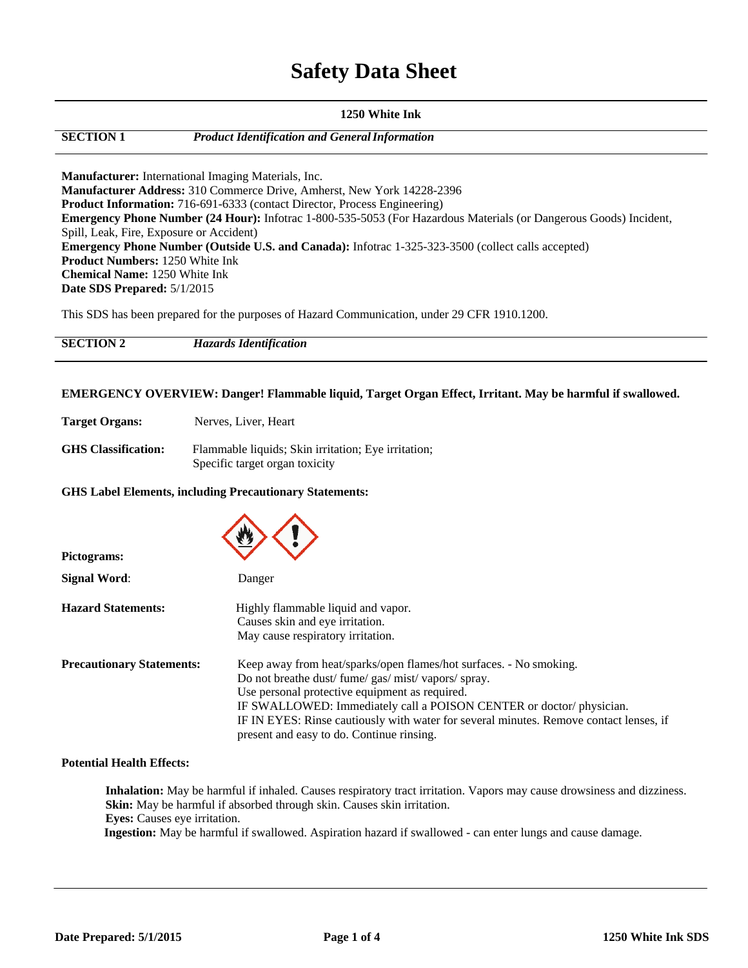# **Safety Data Sheet**

### **1250 White Ink**

**SECTION 1** *Product Identification and GeneralInformation*

**Manufacturer:** International Imaging Materials, Inc. **Manufacturer Address:** 310 Commerce Drive, Amherst, New York 14228-2396 **Product Information:** 716-691-6333 (contact Director, Process Engineering) **Emergency Phone Number (24 Hour):** Infotrac 1-800-535-5053 (For Hazardous Materials (or Dangerous Goods) Incident, Spill, Leak, Fire, Exposure or Accident) **Emergency Phone Number (Outside U.S. and Canada):** Infotrac 1-325-323-3500 (collect calls accepted) **Product Numbers:** 1250 White Ink **Chemical Name:** 1250 White Ink **Date SDS Prepared:** 5/1/2015

This SDS has been prepared for the purposes of Hazard Communication, under 29 CFR 1910.1200.

| <b>SECTION 2</b> | <b>Hazards Identification</b> |
|------------------|-------------------------------|
|                  |                               |

### **EMERGENCY OVERVIEW: Danger! Flammable liquid, Target Organ Effect, Irritant. May be harmful if swallowed.**

**Target Organs:** Nerves, Liver, Heart

**GHS Classification:** Flammable liquids; Skin irritation; Eye irritation; Specific target organ toxicity

### **GHS Label Elements, including Precautionary Statements:**

| Pictograms:                      |                                                                                                                                                                                                                                                                                                                                                                                       |
|----------------------------------|---------------------------------------------------------------------------------------------------------------------------------------------------------------------------------------------------------------------------------------------------------------------------------------------------------------------------------------------------------------------------------------|
| <b>Signal Word:</b>              | Danger                                                                                                                                                                                                                                                                                                                                                                                |
| <b>Hazard Statements:</b>        | Highly flammable liquid and vapor.<br>Causes skin and eye irritation.<br>May cause respiratory irritation.                                                                                                                                                                                                                                                                            |
| <b>Precautionary Statements:</b> | Keep away from heat/sparks/open flames/hot surfaces. - No smoking.<br>Do not breathe dust/fume/gas/mist/vapors/spray.<br>Use personal protective equipment as required.<br>IF SWALLOWED: Immediately call a POISON CENTER or doctor/physician.<br>IF IN EYES: Rinse cautiously with water for several minutes. Remove contact lenses, if<br>present and easy to do. Continue rinsing. |

### **Potential Health Effects:**

**Inhalation:** May be harmful if inhaled. Causes respiratory tract irritation. Vapors may cause drowsiness and dizziness. **Skin:** May be harmful if absorbed through skin. Causes skin irritation. **Eyes:** Causes eye irritation.

**Ingestion:** May be harmful if swallowed. Aspiration hazard if swallowed - can enter lungs and cause damage.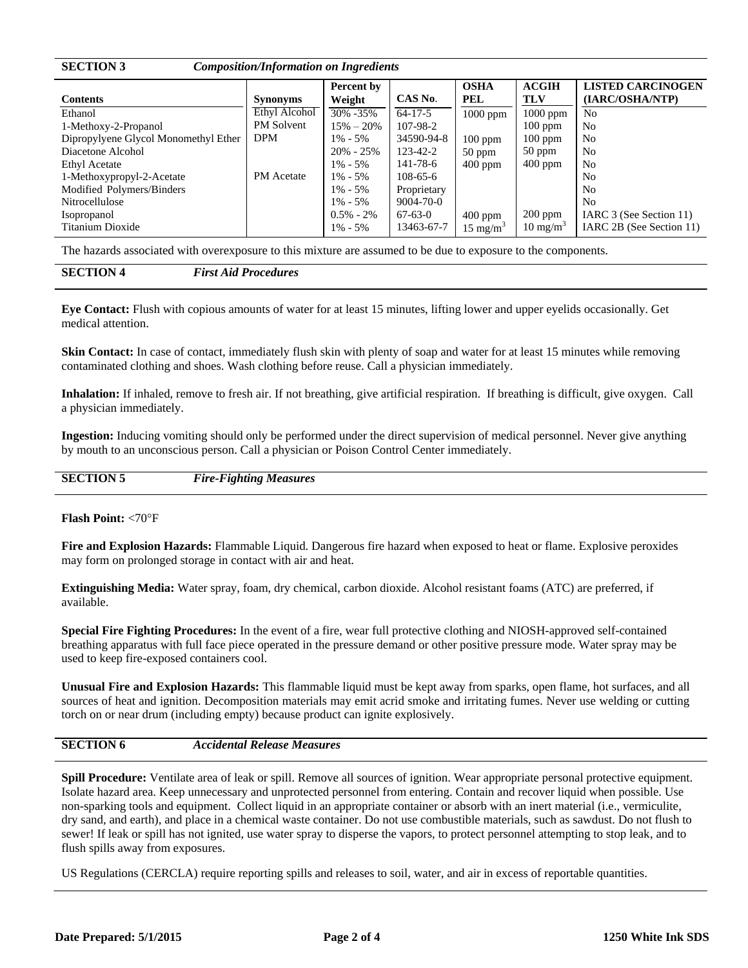| <b>SECTION 3</b><br><b>Composition/Information on Ingredients</b> |                      |                      |                |                     |                            |                                             |  |  |
|-------------------------------------------------------------------|----------------------|----------------------|----------------|---------------------|----------------------------|---------------------------------------------|--|--|
| <b>Contents</b>                                                   | <b>Synonyms</b>      | Percent by<br>Weight | CAS No.        | <b>OSHA</b><br>PEL  | <b>ACGIH</b><br><b>TLV</b> | <b>LISTED CARCINOGEN</b><br>(IARC/OSHA/NTP) |  |  |
| Ethanol                                                           | <b>Ethyl Alcohol</b> | 30% -35%             | $64 - 17 - 5$  | $1000$ ppm          | $1000$ ppm                 | N <sub>0</sub>                              |  |  |
| 1-Methoxy-2-Propanol                                              | <b>PM Solvent</b>    | $15\% - 20\%$        | 107-98-2       |                     | $100$ ppm                  | N <sub>0</sub>                              |  |  |
| Dipropylyene Glycol Monomethyl Ether                              | <b>DPM</b>           | $1\% - 5\%$          | 34590-94-8     | $100$ ppm           | $100$ ppm                  | N <sub>0</sub>                              |  |  |
| Diacetone Alcohol                                                 |                      | $20\% - 25\%$        | 123-42-2       | $50$ ppm            | $50$ ppm                   | N <sub>0</sub>                              |  |  |
| <b>Ethyl Acetate</b>                                              |                      | $1\% - 5\%$          | 141-78-6       | $400$ ppm           | $400$ ppm                  | N <sub>0</sub>                              |  |  |
| 1-Methoxypropyl-2-Acetate                                         | <b>PM</b> Acetate    | $1\% - 5\%$          | $108 - 65 - 6$ |                     |                            | N <sub>0</sub>                              |  |  |
| Modified Polymers/Binders                                         |                      | $1\% - 5\%$          | Proprietary    |                     |                            | N <sub>0</sub>                              |  |  |
| Nitrocellulose                                                    |                      | $1\% - 5\%$          | 9004-70-0      |                     |                            | N <sub>0</sub>                              |  |  |
| <i>Isopropanol</i>                                                |                      | $0.5\% - 2\%$        | $67-63-0$      | $400$ ppm           | $200$ ppm                  | IARC 3 (See Section 11)                     |  |  |
| Titanium Dioxide                                                  |                      | $1\% - 5\%$          | 13463-67-7     | $15 \text{ mg/m}^3$ | $10 \text{ mg/m}^3$        | IARC 2B (See Section 11)                    |  |  |

The hazards associated with overexposure to this mixture are assumed to be due to exposure to the components.

**Eye Contact:** Flush with copious amounts of water for at least 15 minutes, lifting lower and upper eyelids occasionally. Get medical attention.

**Skin Contact:** In case of contact, immediately flush skin with plenty of soap and water for at least 15 minutes while removing contaminated clothing and shoes. Wash clothing before reuse. Call a physician immediately.

**Inhalation:** If inhaled, remove to fresh air. If not breathing, give artificial respiration. If breathing is difficult, give oxygen. Call a physician immediately.

**Ingestion:** Inducing vomiting should only be performed under the direct supervision of medical personnel. Never give anything by mouth to an unconscious person. Call a physician or Poison Control Center immediately.

| <b>SECTION 5</b> | <b>Fire-Fighting Measures</b> |  |
|------------------|-------------------------------|--|
|                  |                               |  |
|                  |                               |  |

### **Flash Point:** <70F

**Fire and Explosion Hazards:** Flammable Liquid. Dangerous fire hazard when exposed to heat or flame. Explosive peroxides may form on prolonged storage in contact with air and heat.

**Extinguishing Media:** Water spray, foam, dry chemical, carbon dioxide. Alcohol resistant foams (ATC) are preferred, if available.

**Special Fire Fighting Procedures:** In the event of a fire, wear full protective clothing and NIOSH-approved self-contained breathing apparatus with full face piece operated in the pressure demand or other positive pressure mode. Water spray may be used to keep fire-exposed containers cool.

**Unusual Fire and Explosion Hazards:** This flammable liquid must be kept away from sparks, open flame, hot surfaces, and all sources of heat and ignition. Decomposition materials may emit acrid smoke and irritating fumes. Never use welding or cutting torch on or near drum (including empty) because product can ignite explosively.

### **SECTION 6** *Accidental Release Measures*

**Spill Procedure:** Ventilate area of leak or spill. Remove all sources of ignition. Wear appropriate personal protective equipment. Isolate hazard area. Keep unnecessary and unprotected personnel from entering. Contain and recover liquid when possible. Use non-sparking tools and equipment. Collect liquid in an appropriate container or absorb with an inert material (i.e., vermiculite, dry sand, and earth), and place in a chemical waste container. Do not use combustible materials, such as sawdust. Do not flush to sewer! If leak or spill has not ignited, use water spray to disperse the vapors, to protect personnel attempting to stop leak, and to flush spills away from exposures.

US Regulations (CERCLA) require reporting spills and releases to soil, water, and air in excess of reportable quantities.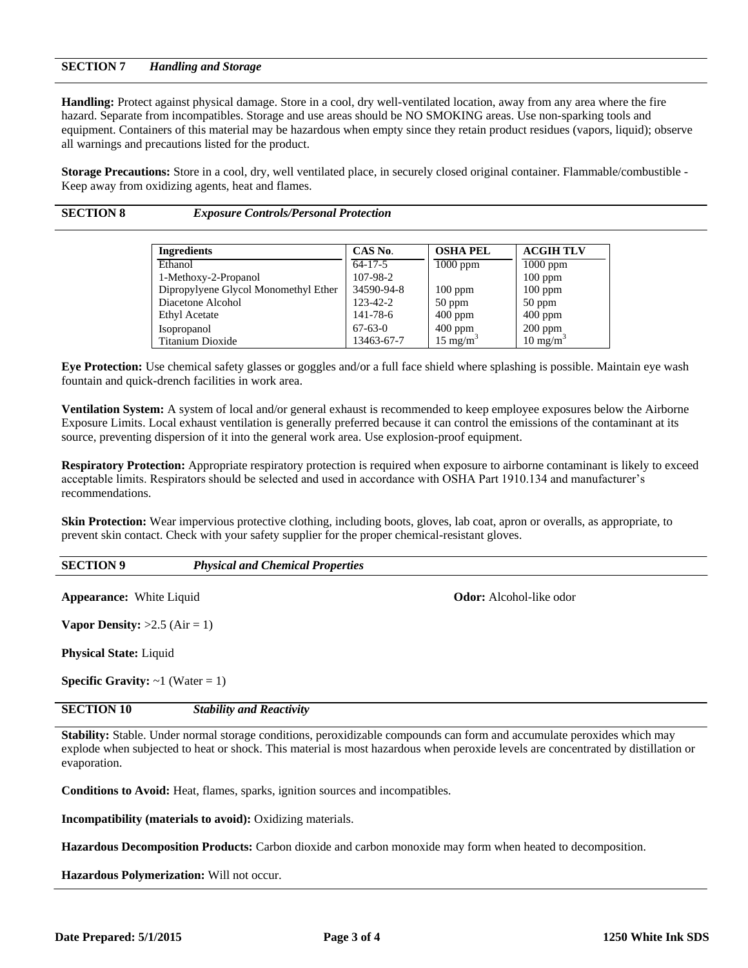## **SECTION 7** *Handling and Storage*

**Handling:** Protect against physical damage. Store in a cool, dry well-ventilated location, away from any area where the fire hazard. Separate from incompatibles. Storage and use areas should be NO SMOKING areas. Use non-sparking tools and equipment. Containers of this material may be hazardous when empty since they retain product residues (vapors, liquid); observe all warnings and precautions listed for the product.

**Storage Precautions:** Store in a cool, dry, well ventilated place, in securely closed original container. Flammable/combustible -Keep away from oxidizing agents, heat and flames.

**SECTION 8** *Exposure Controls/Personal Protection*

| <b>Ingredients</b>                   | CAS No.       | <b>OSHA PEL</b>     | <b>ACGIH TLV</b>    |
|--------------------------------------|---------------|---------------------|---------------------|
| Ethanol                              | $64-17-5$     | $1000$ ppm          | $1000$ ppm          |
| 1-Methoxy-2-Propanol                 | 107-98-2      |                     | $100$ ppm           |
| Dipropylyene Glycol Monomethyl Ether | 34590-94-8    | $100$ ppm           | $100$ ppm           |
| Diacetone Alcohol                    | 123-42-2      | $50$ ppm            | $50$ ppm            |
| <b>Ethyl Acetate</b>                 | 141-78-6      | $400$ ppm           | $400$ ppm           |
| Isopropanol                          | $67 - 63 - 0$ | $400$ ppm           | $200$ ppm           |
| Titanium Dioxide                     | 13463-67-7    | $15 \text{ mg/m}^3$ | $10 \text{ mg/m}^3$ |

**Eye Protection:** Use chemical safety glasses or goggles and/or a full face shield where splashing is possible. Maintain eye wash fountain and quick-drench facilities in work area.

**Ventilation System:** A system of local and/or general exhaust is recommended to keep employee exposures below the Airborne Exposure Limits. Local exhaust ventilation is generally preferred because it can control the emissions of the contaminant at its source, preventing dispersion of it into the general work area. Use explosion-proof equipment.

**Respiratory Protection:** Appropriate respiratory protection is required when exposure to airborne contaminant is likely to exceed acceptable limits. Respirators should be selected and used in accordance with OSHA Part 1910.134 and manufacturer's recommendations.

**Skin Protection:** Wear impervious protective clothing, including boots, gloves, lab coat, apron or overalls, as appropriate, to prevent skin contact. Check with your safety supplier for the proper chemical-resistant gloves.

### **SECTION 9** *Physical and Chemical Properties*

**Appearance:** White Liquid **Constanting Constanting Constanting Constanting Constanting Constanting Constanting Constanting Constanting Constanting Constanting Constanting Constanting Constanting Constanting Constanting Co** 

**Vapor Density:**  $>2.5$  (Air = 1)

**Physical State:** Liquid

**Specific Gravity:**  $\sim$ **1 (Water = 1)** 

# **SECTION 10** *Stability and Reactivity*

**Stability:** Stable. Under normal storage conditions, peroxidizable compounds can form and accumulate peroxides which may explode when subjected to heat or shock. This material is most hazardous when peroxide levels are concentrated by distillation or evaporation.

**Conditions to Avoid:** Heat, flames, sparks, ignition sources and incompatibles.

**Incompatibility (materials to avoid):** Oxidizing materials.

**Hazardous Decomposition Products:** Carbon dioxide and carbon monoxide may form when heated to decomposition.

**Hazardous Polymerization:** Will not occur.